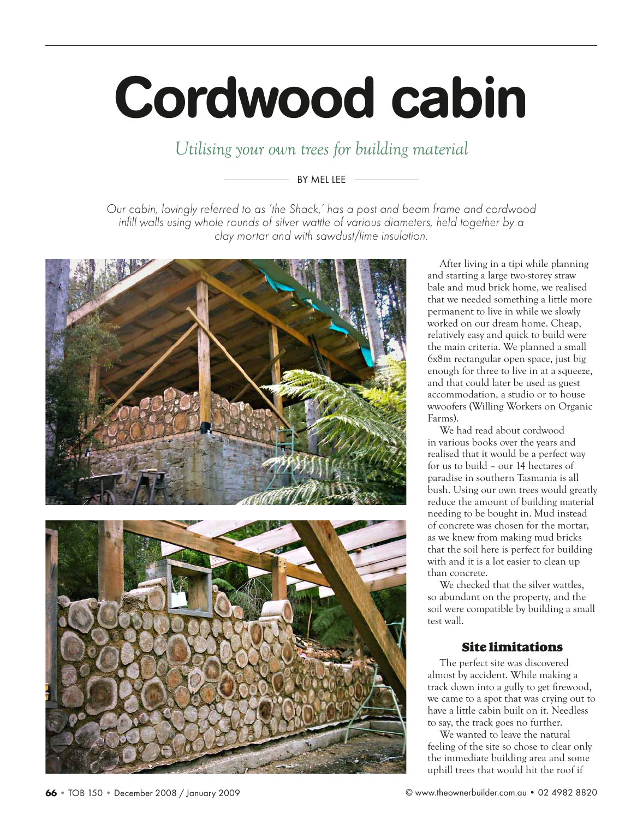# Cordwood cabin

*Utilising your own trees for building material*

# BY MEL LEF  $-$

*Our cabin, lovingly referred to as 'the Shack,' has a post and beam frame and cordwood*  infill walls using whole rounds of silver wattle of various diameters, held together by a *clay mortar and with sawdust/lime insulation.*





After living in a tipi while planning and starting a large two-storey straw bale and mud brick home, we realised that we needed something a little more permanent to live in while we slowly worked on our dream home. Cheap, relatively easy and quick to build were the main criteria. We planned a small 6x8m rectangular open space, just big enough for three to live in at a squeeze, and that could later be used as guest accommodation, a studio or to house wwoofers (Willing Workers on Organic Farms).

We had read about cordwood in various books over the years and realised that it would be a perfect way for us to build – our 14 hectares of paradise in southern Tasmania is all bush. Using our own trees would greatly reduce the amount of building material needing to be bought in. Mud instead of concrete was chosen for the mortar, as we knew from making mud bricks that the soil here is perfect for building with and it is a lot easier to clean up than concrete.

We checked that the silver wattles, so abundant on the property, and the soil were compatible by building a small test wall.

# Site limitations

The perfect site was discovered almost by accident. While making a track down into a gully to get firewood, we came to a spot that was crying out to have a little cabin built on it. Needless to say, the track goes no further.

We wanted to leave the natural feeling of the site so chose to clear only the immediate building area and some uphill trees that would hit the roof if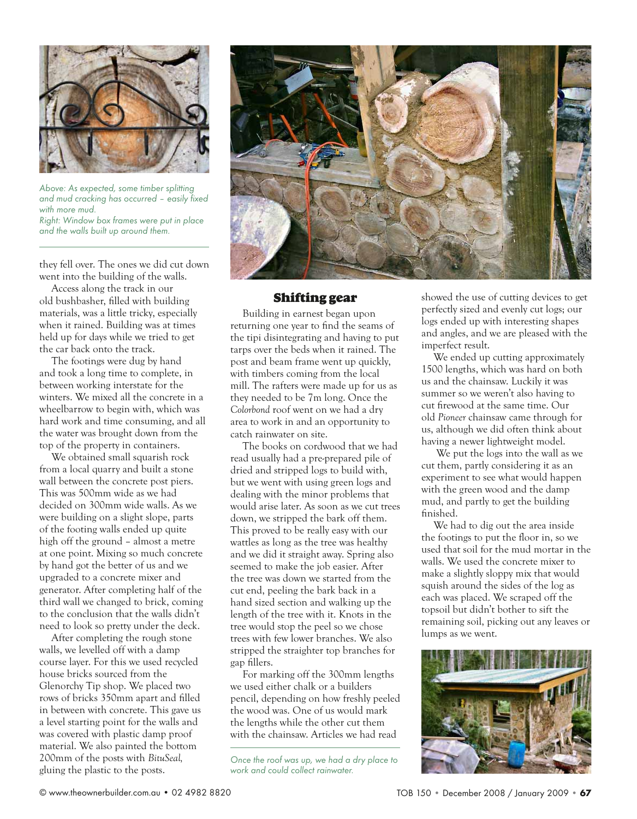

*Above: As expected, some timber splitting*  and mud cracking has occurred - easily fixed *with more mud. Right: Window box frames were put in place and the walls built up around them.*

they fell over. The ones we did cut down went into the building of the walls.

Access along the track in our old bushbasher, filled with building materials, was a little tricky, especially when it rained. Building was at times held up for days while we tried to get the car back onto the track.

The footings were dug by hand and took a long time to complete, in between working interstate for the winters. We mixed all the concrete in a wheelbarrow to begin with, which was hard work and time consuming, and all the water was brought down from the top of the property in containers.

We obtained small squarish rock from a local quarry and built a stone wall between the concrete post piers. This was 500mm wide as we had decided on 300mm wide walls. As we were building on a slight slope, parts of the footing walls ended up quite high off the ground – almost a metre at one point. Mixing so much concrete by hand got the better of us and we upgraded to a concrete mixer and generator. After completing half of the third wall we changed to brick, coming to the conclusion that the walls didn't need to look so pretty under the deck.

After completing the rough stone walls, we levelled off with a damp course layer. For this we used recycled house bricks sourced from the Glenorchy Tip shop. We placed two rows of bricks 350mm apart and filled in between with concrete. This gave us a level starting point for the walls and was covered with plastic damp proof material. We also painted the bottom 200mm of the posts with *BituSeal,* gluing the plastic to the posts.



### Shifting gear

Building in earnest began upon returning one year to find the seams of the tipi disintegrating and having to put tarps over the beds when it rained. The post and beam frame went up quickly, with timbers coming from the local mill. The rafters were made up for us as they needed to be 7m long. Once the *Colorbond* roof went on we had a dry area to work in and an opportunity to catch rainwater on site.

The books on cordwood that we had read usually had a pre-prepared pile of dried and stripped logs to build with, but we went with using green logs and dealing with the minor problems that would arise later. As soon as we cut trees down, we stripped the bark off them. This proved to be really easy with our wattles as long as the tree was healthy and we did it straight away. Spring also seemed to make the job easier. After the tree was down we started from the cut end, peeling the bark back in a hand sized section and walking up the length of the tree with it. Knots in the tree would stop the peel so we chose trees with few lower branches. We also stripped the straighter top branches for gap fillers.

For marking off the 300mm lengths we used either chalk or a builders pencil, depending on how freshly peeled the wood was. One of us would mark the lengths while the other cut them with the chainsaw. Articles we had read

*Once the roof was up, we had a dry place to work and could collect rainwater.*

showed the use of cutting devices to get perfectly sized and evenly cut logs; our logs ended up with interesting shapes and angles, and we are pleased with the imperfect result.

We ended up cutting approximately 1500 lengths, which was hard on both us and the chainsaw. Luckily it was summer so we weren't also having to cut firewood at the same time. Our old *Pioneer* chainsaw came through for us, although we did often think about having a newer lightweight model.

 We put the logs into the wall as we cut them, partly considering it as an experiment to see what would happen with the green wood and the damp mud, and partly to get the building finished.

We had to dig out the area inside the footings to put the floor in, so we used that soil for the mud mortar in the walls. We used the concrete mixer to make a slightly sloppy mix that would squish around the sides of the log as each was placed. We scraped off the topsoil but didn't bother to sift the remaining soil, picking out any leaves or lumps as we went.

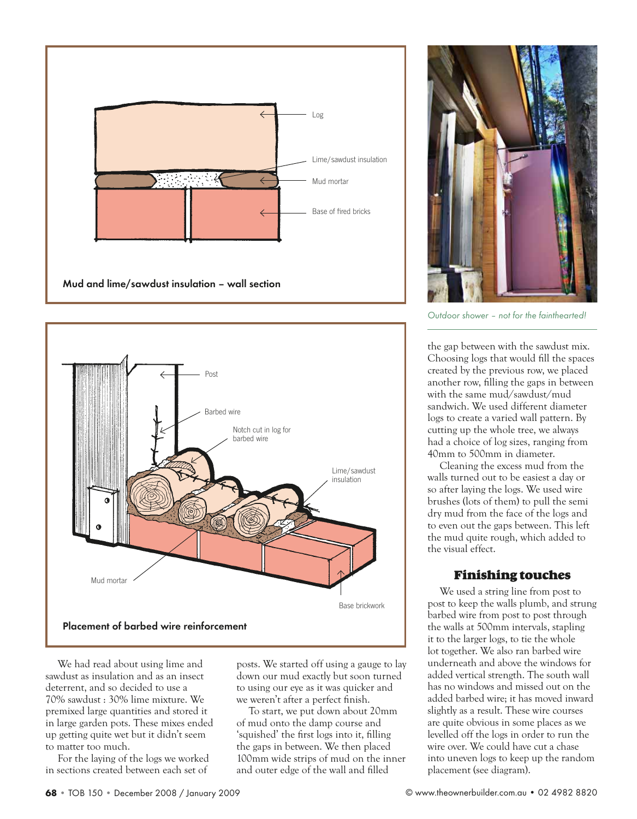



We had read about using lime and sawdust as insulation and as an insect deterrent, and so decided to use a 70% sawdust : 30% lime mixture. We premixed large quantities and stored it in large garden pots. These mixes ended up getting quite wet but it didn't seem to matter too much.

For the laying of the logs we worked in sections created between each set of

posts. We started off using a gauge to lay down our mud exactly but soon turned to using our eye as it was quicker and we weren't after a perfect finish.

To start, we put down about 20mm of mud onto the damp course and 'squished' the first logs into it, filling the gaps in between. We then placed 100mm wide strips of mud on the inner and outer edge of the wall and filled



*Outdoor shower – not for the fainthearted!*

the gap between with the sawdust mix. Choosing logs that would fill the spaces created by the previous row, we placed another row, filling the gaps in between with the same mud/sawdust/mud sandwich. We used different diameter logs to create a varied wall pattern. By cutting up the whole tree, we always had a choice of log sizes, ranging from 40mm to 500mm in diameter.

Cleaning the excess mud from the walls turned out to be easiest a day or so after laying the logs. We used wire brushes (lots of them) to pull the semi dry mud from the face of the logs and to even out the gaps between. This left the mud quite rough, which added to the visual effect.

# Finishing touches

We used a string line from post to post to keep the walls plumb, and strung barbed wire from post to post through the walls at 500mm intervals, stapling it to the larger logs, to tie the whole lot together. We also ran barbed wire underneath and above the windows for added vertical strength. The south wall has no windows and missed out on the added barbed wire; it has moved inward slightly as a result. These wire courses are quite obvious in some places as we levelled off the logs in order to run the wire over. We could have cut a chase into uneven logs to keep up the random placement (see diagram).